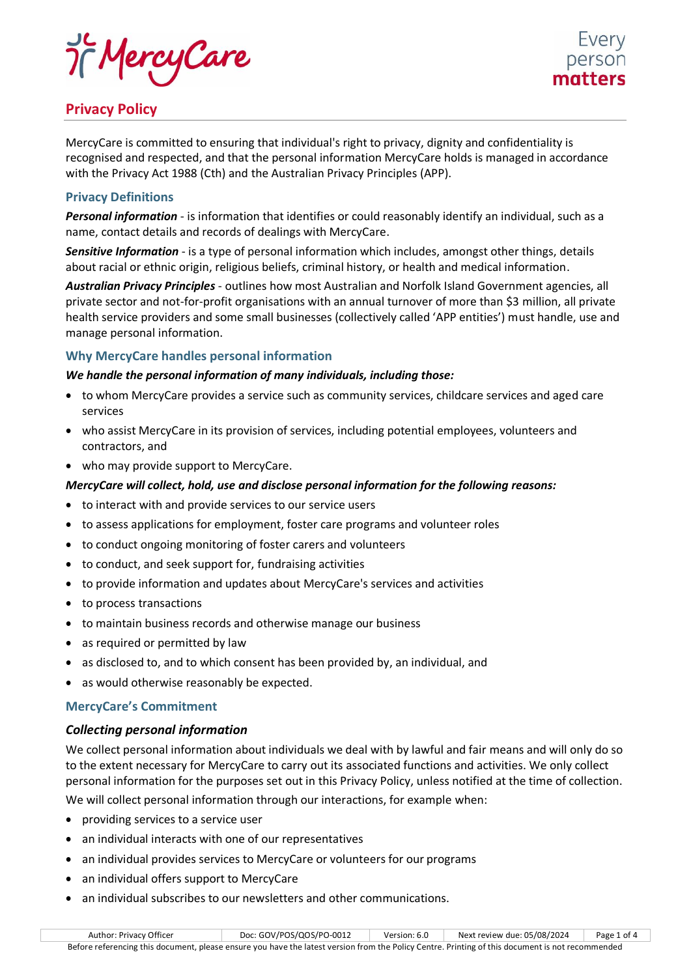

# **Privacy Policy**

MercyCare is committed to ensuring that individual's right to privacy, dignity and confidentiality is recognised and respected, and that the personal information MercyCare holds is managed in accordance with the Privacy Act 1988 (Cth) and the Australian Privacy Principles (APP).

# **Privacy Definitions**

*Personal information* - is information that identifies or could reasonably identify an individual, such as a name, contact details and records of dealings with MercyCare.

*Sensitive Information* - is a type of personal information which includes, amongst other things, details about racial or ethnic origin, religious beliefs, criminal history, or health and medical information.

*Australian Privacy Principles* - outlines how most Australian and Norfolk Island Government agencies, all private sector and not-for-profit organisations with an annual turnover of more than \$3 million, all private health service providers and some small businesses (collectively called 'APP entities') must handle, use and manage personal information.

# **Why MercyCare handles personal information**

# *We handle the personal information of many individuals, including those:*

- to whom MercyCare provides a service such as community services, childcare services and aged care services
- who assist MercyCare in its provision of services, including potential employees, volunteers and contractors, and
- who may provide support to MercyCare.

# *MercyCare will collect, hold, use and disclose personal information for the following reasons:*

- to interact with and provide services to our service users
- to assess applications for employment, foster care programs and volunteer roles
- to conduct ongoing monitoring of foster carers and volunteers
- to conduct, and seek support for, fundraising activities
- to provide information and updates about MercyCare's services and activities
- to process transactions
- to maintain business records and otherwise manage our business
- as required or permitted by law
- as disclosed to, and to which consent has been provided by, an individual, and
- as would otherwise reasonably be expected.

# **MercyCare's Commitment**

# *Collecting personal information*

We collect personal information about individuals we deal with by lawful and fair means and will only do so to the extent necessary for MercyCare to carry out its associated functions and activities. We only collect personal information for the purposes set out in this Privacy Policy, unless notified at the time of collection. We will collect personal information through our interactions, for example when:

- providing services to a service user
- an individual interacts with one of our representatives
- an individual provides services to MercyCare or volunteers for our programs
- an individual offers support to MercyCare
- an individual subscribes to our newsletters and other communications.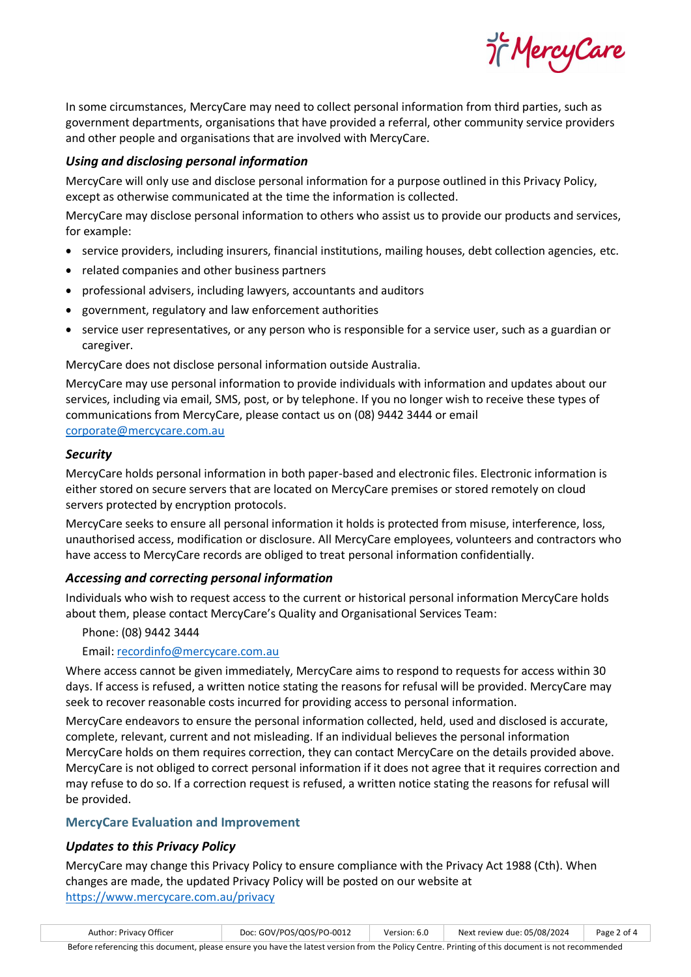97 MercyCare

In some circumstances, MercyCare may need to collect personal information from third parties, such as government departments, organisations that have provided a referral, other community service providers and other people and organisations that are involved with MercyCare.

# *Using and disclosing personal information*

MercyCare will only use and disclose personal information for a purpose outlined in this Privacy Policy, except as otherwise communicated at the time the information is collected.

MercyCare may disclose personal information to others who assist us to provide our products and services, for example:

- service providers, including insurers, financial institutions, mailing houses, debt collection agencies, etc.
- related companies and other business partners
- professional advisers, including lawyers, accountants and auditors
- government, regulatory and law enforcement authorities
- service user representatives, or any person who is responsible for a service user, such as a guardian or caregiver.

MercyCare does not disclose personal information outside Australia.

MercyCare may use personal information to provide individuals with information and updates about our services, including via email, SMS, post, or by telephone. If you no longer wish to receive these types of communications from MercyCare, please contact us on (08) 9442 3444 or email [corporate@mercycare.com.au](mailto:corporate@mercycare.com.au)

#### *Security*

MercyCare holds personal information in both paper-based and electronic files. Electronic information is either stored on secure servers that are located on MercyCare premises or stored remotely on cloud servers protected by encryption protocols.

MercyCare seeks to ensure all personal information it holds is protected from misuse, interference, loss, unauthorised access, modification or disclosure. All MercyCare employees, volunteers and contractors who have access to MercyCare records are obliged to treat personal information confidentially.

# *Accessing and correcting personal information*

Individuals who wish to request access to the current or historical personal information MercyCare holds about them, please contact MercyCare's Quality and Organisational Services Team:

Phone: (08) 9442 3444

Email: [recordinfo@mercycare.com.au](mailto:recordinfo@mercycare.com.au)

Where access cannot be given immediately, MercyCare aims to respond to requests for access within 30 days. If access is refused, a written notice stating the reasons for refusal will be provided. MercyCare may seek to recover reasonable costs incurred for providing access to personal information.

MercyCare endeavors to ensure the personal information collected, held, used and disclosed is accurate, complete, relevant, current and not misleading. If an individual believes the personal information MercyCare holds on them requires correction, they can contact MercyCare on the details provided above. MercyCare is not obliged to correct personal information if it does not agree that it requires correction and may refuse to do so. If a correction request is refused, a written notice stating the reasons for refusal will be provided.

#### **MercyCare Evaluation and Improvement**

# *Updates to this Privacy Policy*

MercyCare may change this Privacy Policy to ensure compliance with the Privacy Act 1988 (Cth). When changes are made, the updated Privacy Policy will be posted on our website at <https://www.mercycare.com.au/privacy>